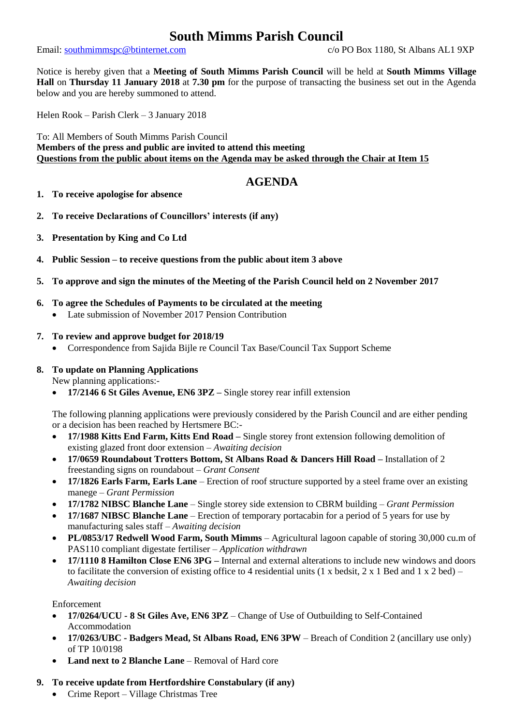# **South Mimms Parish Council**

Email: [southmimmspc@btinternet.com](mailto:southmimmspc@btinternet.com) c/o PO Box 1180, St Albans AL1 9XP

Notice is hereby given that a **Meeting of South Mimms Parish Council** will be held at **South Mimms Village Hall** on **Thursday 11 January 2018** at **7.30 pm** for the purpose of transacting the business set out in the Agenda below and you are hereby summoned to attend.

Helen Rook – Parish Clerk – 3 January 2018

To: All Members of South Mimms Parish Council **Members of the press and public are invited to attend this meeting Questions from the public about items on the Agenda may be asked through the Chair at Item 15**

# **AGENDA**

- **1. To receive apologise for absence**
- **2. To receive Declarations of Councillors' interests (if any)**
- **3. Presentation by King and Co Ltd**
- **4. Public Session – to receive questions from the public about item 3 above**
- **5. To approve and sign the minutes of the Meeting of the Parish Council held on 2 November 2017**
- **6. To agree the Schedules of Payments to be circulated at the meeting**
	- Late submission of November 2017 Pension Contribution

## **7. To review and approve budget for 2018/19**

• Correspondence from Sajida Bijle re Council Tax Base/Council Tax Support Scheme

#### **8. To update on Planning Applications**

New planning applications:-

• **17/2146 6 St Giles Avenue, EN6 3PZ –** Single storey rear infill extension

The following planning applications were previously considered by the Parish Council and are either pending or a decision has been reached by Hertsmere BC:-

- **17/1988 Kitts End Farm, Kitts End Road –** Single storey front extension following demolition of existing glazed front door extension – *Awaiting decision*
- **17/0659 Roundabout Trotters Bottom, St Albans Road & Dancers Hill Road –** Installation of 2 freestanding signs on roundabout – *Grant Consent*
- **17/1826 Earls Farm, Earls Lane** Erection of roof structure supported by a steel frame over an existing manege – *Grant Permission*
- **17/1782 NIBSC Blanche Lane** Single storey side extension to CBRM building *Grant Permission*
- **17/1687 NIBSC Blanche Lane** Erection of temporary portacabin for a period of 5 years for use by manufacturing sales staff – *Awaiting decision*
- **PL/0853/17 Redwell Wood Farm, South Mimms** Agricultural lagoon capable of storing 30,000 cu.m of PAS110 compliant digestate fertiliser – *Application withdrawn*
- **17/1110 8 Hamilton Close EN6 3PG –** Internal and external alterations to include new windows and doors to facilitate the conversion of existing office to 4 residential units (1 x bedsit, 2 x 1 Bed and 1 x 2 bed) – *Awaiting decision*

Enforcement

- **17/0264/UCU - 8 St Giles Ave, EN6 3PZ** Change of Use of Outbuilding to Self-Contained Accommodation
- **17/0263/UBC - Badgers Mead, St Albans Road, EN6 3PW** Breach of Condition 2 (ancillary use only) of TP 10/0198
- **Land next to 2 Blanche Lane** Removal of Hard core

## **9. To receive update from Hertfordshire Constabulary (if any)**

• Crime Report – Village Christmas Tree